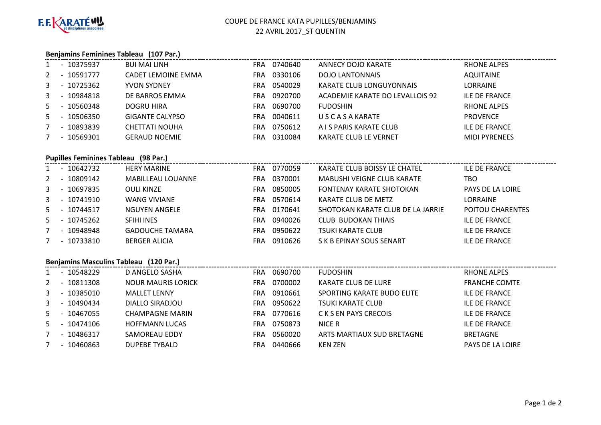

# COUPE DE FRANCE KATA PUPILLES/BENJAMINS22 AVRIL 2017\_ST QUENTIN

#### **Benjamins Feminines Tableau (107 Par.)**

| 0330106<br><b>AQUITAINE</b><br>- 10591777<br><b>CADET LEMOINE EMMA</b><br><b>DOJO LANTONNAIS</b><br>$2^{\circ}$<br>FRA<br><b>LORRAINE</b><br>- 10725362<br>0540029<br>3<br>KARATE CLUB LONGUYONNAIS<br><b>YVON SYDNEY</b><br>FRA |  |
|----------------------------------------------------------------------------------------------------------------------------------------------------------------------------------------------------------------------------------|--|
|                                                                                                                                                                                                                                  |  |
|                                                                                                                                                                                                                                  |  |
| 0920700<br>ILE DE FRANCE<br>- 10984818<br>DE BARROS EMMA<br>ACADEMIE KARATE DO LEVALLOIS 92<br>3<br>FRA                                                                                                                          |  |
| 0690700<br><b>RHONE ALPES</b><br>5<br>- 10560348<br>DOGRU HIRA<br><b>FUDOSHIN</b><br>FRA                                                                                                                                         |  |
| 0040611<br><b>PROVENCE</b><br><b>GIGANTE CALYPSO</b><br>U S C A S A KARATE<br>5<br>10506350<br>FRA                                                                                                                               |  |
| 0750612<br>10893839<br><b>ILE DE FRANCE</b><br>A I S PARIS KARATE CLUB<br><b>CHETTATI NOUHA</b><br>FRA<br>$\overline{\phantom{0}}$                                                                                               |  |
| 0310084<br>$-10569301$<br><b>GERAUD NOEMIE</b><br><b>KARATE CLUB LE VERNET</b><br><b>MIDI PYRENEES</b><br>FRA                                                                                                                    |  |

#### **Pupilles Feminines Tableau (98 Par.)**

|       |                          | - 10642732   | <b>HERY MARINE</b>       | FRA.       | 0770059 | KARATE CLUB BOISSY LE CHATEL      | <b>ILE DE FRANCE</b>    |
|-------|--------------------------|--------------|--------------------------|------------|---------|-----------------------------------|-------------------------|
| $2 -$ |                          | 10809142     | <b>MABILLEAU LOUANNE</b> | FRA        | 0370001 | MABUSHI VEIGNE CLUB KARATE        | тво                     |
|       |                          | 3 - 10697835 | <b>OULI KINZE</b>        | FRA        | 0850005 | <b>FONTENAY KARATE SHOTOKAN</b>   | PAYS DE LA LOIRE        |
|       |                          | 3 - 10741910 | <b>WANG VIVIANE</b>      | FRA        | 0570614 | KARATE CLUB DE METZ               | <b>LORRAINE</b>         |
|       |                          | 5 - 10744517 | NGUYEN ANGELE            | FRA        | 0170641 | SHOTOKAN KARATE CLUB DE LA JARRIE | <b>POITOU CHARENTES</b> |
|       |                          | 5 - 10745262 | <b>SFIHI INES</b>        | FRA        | 0940026 | <b>CLUB BUDOKAN THIAIS</b>        | <b>ILE DE FRANCE</b>    |
|       | $\overline{\phantom{0}}$ | 10948948     | <b>GADOUCHE TAMARA</b>   | <b>FRA</b> | 0950622 | <b>TSUKI KARATE CLUB</b>          | <b>ILE DE FRANCE</b>    |
|       | $\sim$                   | 10733810     | <b>BERGER ALICIA</b>     | FRA        | 0910626 | S K B EPINAY SOUS SENART          | <b>ILE DE FRANCE</b>    |

### **Benjamins Masculins Tableau (120 Par.)**

| Benjamins iviasculins Tableau (120 Par.) |                          |              |                           |            |         |                            |                      |  |  |
|------------------------------------------|--------------------------|--------------|---------------------------|------------|---------|----------------------------|----------------------|--|--|
|                                          | $\overline{\phantom{0}}$ | 10548229     | D ANGELO SASHA            | <b>FRA</b> | 0690700 | <b>FUDOSHIN</b>            | RHONE ALPES          |  |  |
| 2                                        | $\overline{\phantom{0}}$ | 10811308     | <b>NOUR MAURIS LORICK</b> | <b>FRA</b> | 0700002 | KARATE CLUB DE LURE        | <b>FRANCHE COMTE</b> |  |  |
| $\mathbf{3}$                             | $\overline{\phantom{0}}$ | 10385010     | <b>MALLET LENNY</b>       | <b>FRA</b> | 0910661 | SPORTING KARATE BUDO ELITE | ILE DE FRANCE        |  |  |
| $\mathbf{3}$                             |                          | - 10490434   | DIALLO SIRADJOU           | <b>FRA</b> | 0950622 | TSUKI KARATE CLUB          | <b>ILE DE FRANCE</b> |  |  |
|                                          |                          | 5 - 10467055 | <b>CHAMPAGNE MARIN</b>    | FRA.       | 0770616 | C K S EN PAYS CRECOIS      | ILE DE FRANCE        |  |  |
| 5                                        | $\overline{\phantom{a}}$ | 10474106     | <b>HOFFMANN LUCAS</b>     | <b>FRA</b> | 0750873 | NICE R                     | ILE DE FRANCE        |  |  |
|                                          |                          | $-10486317$  | SAMOREAU EDDY             | <b>FRA</b> | 0560020 | ARTS MARTIAUX SUD BRETAGNE | <b>BRETAGNE</b>      |  |  |
|                                          |                          | $-10460863$  | <b>DUPEBE TYBALD</b>      | <b>FRA</b> | 0440666 | KEN ZEN                    | PAYS DE LA LOIRE     |  |  |
|                                          |                          |              |                           |            |         |                            |                      |  |  |